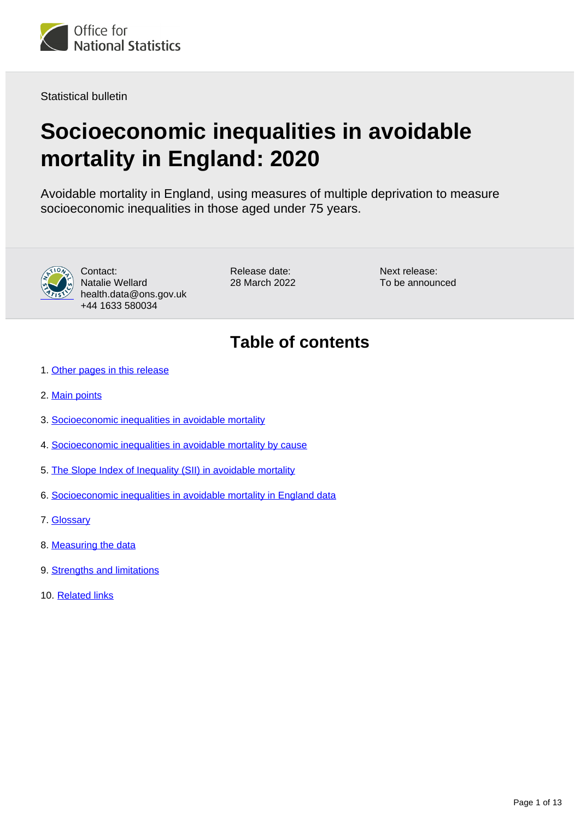

Statistical bulletin

# **Socioeconomic inequalities in avoidable mortality in England: 2020**

Avoidable mortality in England, using measures of multiple deprivation to measure socioeconomic inequalities in those aged under 75 years.



Contact: Natalie Wellard health.data@ons.gov.uk +44 1633 580034

Release date: 28 March 2022 Next release: To be announced

## **Table of contents**

- 1. [Other pages in this release](#page-1-0)
- 2. [Main points](#page-1-1)
- 3. [Socioeconomic inequalities in avoidable mortality](#page-2-0)
- 4. [Socioeconomic inequalities in avoidable mortality by cause](#page-3-0)
- 5. [The Slope Index of Inequality \(SII\) in avoidable mortality](#page-9-0)
- 6. [Socioeconomic inequalities in avoidable mortality in England data](#page-10-0)
- 7. [Glossary](#page-10-1)
- 8. [Measuring the data](#page-10-2)
- 9. [Strengths and limitations](#page-11-0)
- 10. [Related links](#page-12-0)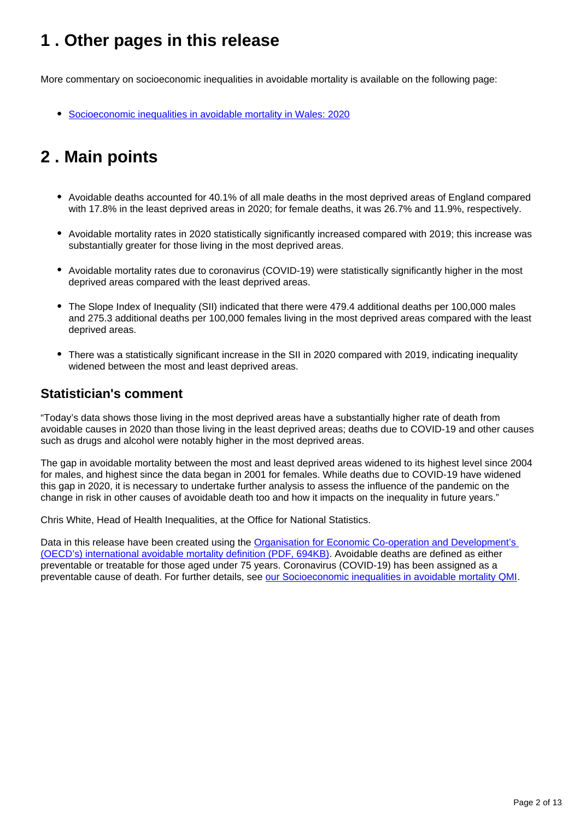## <span id="page-1-0"></span>**1 . Other pages in this release**

More commentary on socioeconomic inequalities in avoidable mortality is available on the following page:

[Socioeconomic inequalities in avoidable mortality in Wales: 2020](https://www.ons.gov.uk/peoplepopulationandcommunity/birthsdeathsandmarriages/deaths/bulletins/socioeconomicinequalitiesinavoidablemortalityinwales/previousReleases)

## <span id="page-1-1"></span>**2 . Main points**

- Avoidable deaths accounted for 40.1% of all male deaths in the most deprived areas of England compared with 17.8% in the least deprived areas in 2020; for female deaths, it was 26.7% and 11.9%, respectively.
- Avoidable mortality rates in 2020 statistically significantly increased compared with 2019; this increase was substantially greater for those living in the most deprived areas.
- Avoidable mortality rates due to coronavirus (COVID-19) were statistically significantly higher in the most deprived areas compared with the least deprived areas.
- The Slope Index of Inequality (SII) indicated that there were 479.4 additional deaths per 100,000 males and 275.3 additional deaths per 100,000 females living in the most deprived areas compared with the least deprived areas.
- There was a statistically significant increase in the SII in 2020 compared with 2019, indicating inequality widened between the most and least deprived areas.

### **Statistician's comment**

"Today's data shows those living in the most deprived areas have a substantially higher rate of death from avoidable causes in 2020 than those living in the least deprived areas; deaths due to COVID-19 and other causes such as drugs and alcohol were notably higher in the most deprived areas.

The gap in avoidable mortality between the most and least deprived areas widened to its highest level since 2004 for males, and highest since the data began in 2001 for females. While deaths due to COVID-19 have widened this gap in 2020, it is necessary to undertake further analysis to assess the influence of the pandemic on the change in risk in other causes of avoidable death too and how it impacts on the inequality in future years."

Chris White, Head of Health Inequalities, at the Office for National Statistics.

Data in this release have been created using the [Organisation for Economic Co-operation and Development's](https://www.oecd.org/health/health-systems/Avoidable-mortality-2019-Joint-OECD-Eurostat-List-preventable-treatable-causes-of-death.pdf?_ga=2.95253274.785549825.1636041196-1164473472.1612863517)  [\(OECD's\) international avoidable mortality definition \(PDF, 694KB\)](https://www.oecd.org/health/health-systems/Avoidable-mortality-2019-Joint-OECD-Eurostat-List-preventable-treatable-causes-of-death.pdf?_ga=2.95253274.785549825.1636041196-1164473472.1612863517). Avoidable deaths are defined as either preventable or treatable for those aged under 75 years. Coronavirus (COVID-19) has been assigned as a preventable cause of death. For further details, see [our Socioeconomic inequalities in avoidable mortality QMI](https://www.ons.gov.uk/peoplepopulationandcommunity/healthandsocialcare/causesofdeath/methodologies/socioeconomicinequalitiesinavoidablemortalityqmi).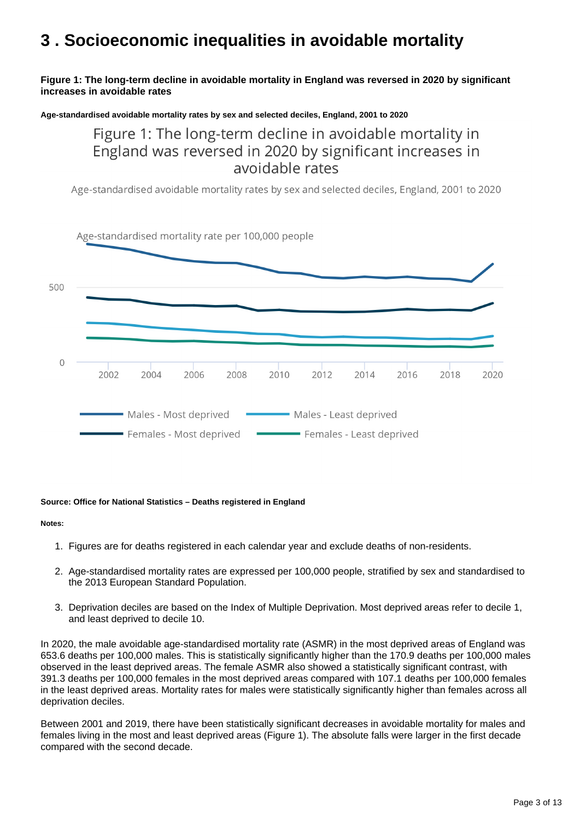## <span id="page-2-0"></span>**3 . Socioeconomic inequalities in avoidable mortality**

#### **Figure 1: The long-term decline in avoidable mortality in England was reversed in 2020 by significant increases in avoidable rates**

**Age-standardised avoidable mortality rates by sex and selected deciles, England, 2001 to 2020**

Figure 1: The long-term decline in avoidable mortality in England was reversed in 2020 by significant increases in avoidable rates

Age-standardised avoidable mortality rates by sex and selected deciles, England, 2001 to 2020



#### **Source: Office for National Statistics – Deaths registered in England**

#### **Notes:**

- 1. Figures are for deaths registered in each calendar year and exclude deaths of non-residents.
- 2. Age-standardised mortality rates are expressed per 100,000 people, stratified by sex and standardised to the 2013 European Standard Population.
- 3. Deprivation deciles are based on the Index of Multiple Deprivation. Most deprived areas refer to decile 1, and least deprived to decile 10.

In 2020, the male avoidable age-standardised mortality rate (ASMR) in the most deprived areas of England was 653.6 deaths per 100,000 males. This is statistically significantly higher than the 170.9 deaths per 100,000 males observed in the least deprived areas. The female ASMR also showed a statistically significant contrast, with 391.3 deaths per 100,000 females in the most deprived areas compared with 107.1 deaths per 100,000 females in the least deprived areas. Mortality rates for males were statistically significantly higher than females across all deprivation deciles.

Between 2001 and 2019, there have been statistically significant decreases in avoidable mortality for males and females living in the most and least deprived areas (Figure 1). The absolute falls were larger in the first decade compared with the second decade.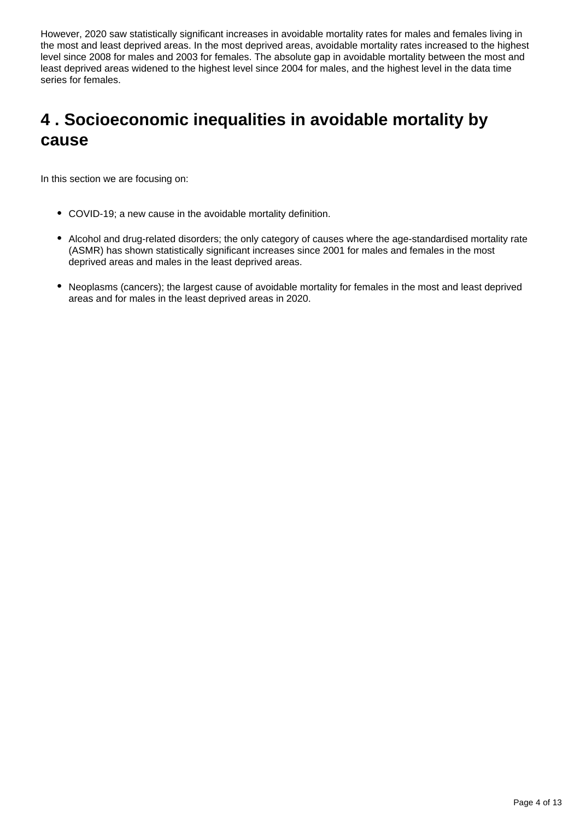However, 2020 saw statistically significant increases in avoidable mortality rates for males and females living in the most and least deprived areas. In the most deprived areas, avoidable mortality rates increased to the highest level since 2008 for males and 2003 for females. The absolute gap in avoidable mortality between the most and least deprived areas widened to the highest level since 2004 for males, and the highest level in the data time series for females.

## <span id="page-3-0"></span>**4 . Socioeconomic inequalities in avoidable mortality by cause**

In this section we are focusing on:

- COVID-19; a new cause in the avoidable mortality definition.
- Alcohol and drug-related disorders; the only category of causes where the age-standardised mortality rate (ASMR) has shown statistically significant increases since 2001 for males and females in the most deprived areas and males in the least deprived areas.
- Neoplasms (cancers); the largest cause of avoidable mortality for females in the most and least deprived areas and for males in the least deprived areas in 2020.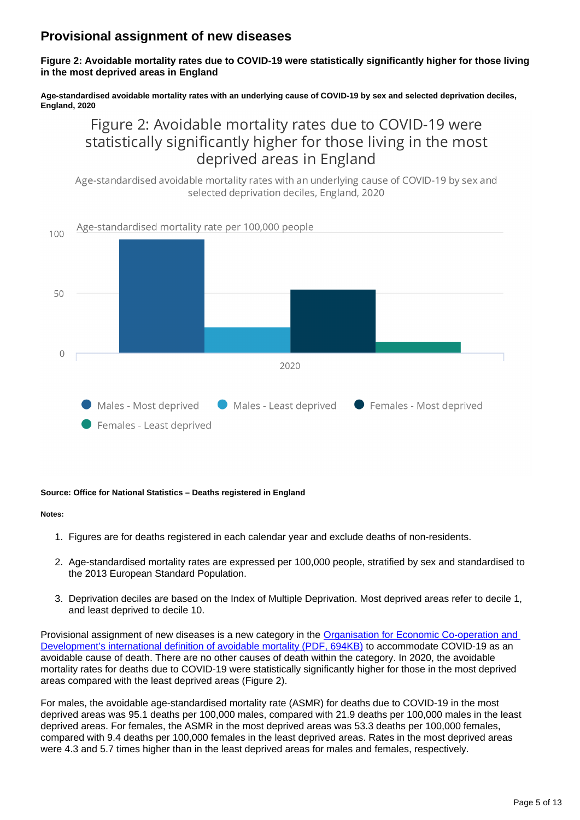### **Provisional assignment of new diseases**

**Figure 2: Avoidable mortality rates due to COVID-19 were statistically significantly higher for those living in the most deprived areas in England**

**Age-standardised avoidable mortality rates with an underlying cause of COVID-19 by sex and selected deprivation deciles, England, 2020**

## Figure 2: Avoidable mortality rates due to COVID-19 were statistically significantly higher for those living in the most deprived areas in England

Age-standardised avoidable mortality rates with an underlying cause of COVID-19 by sex and selected deprivation deciles, England, 2020



#### **Source: Office for National Statistics – Deaths registered in England**

#### **Notes:**

- 1. Figures are for deaths registered in each calendar year and exclude deaths of non-residents.
- 2. Age-standardised mortality rates are expressed per 100,000 people, stratified by sex and standardised to the 2013 European Standard Population.
- 3. Deprivation deciles are based on the Index of Multiple Deprivation. Most deprived areas refer to decile 1, and least deprived to decile 10.

Provisional assignment of new diseases is a new category in the Organisation for Economic Co-operation and [Development's international definition of avoidable mortality \(PDF, 694KB\)](https://www.oecd.org/health/health-systems/Avoidable-mortality-2019-Joint-OECD-Eurostat-List-preventable-treatable-causes-of-death.pdf?_ga=2.95253274.785549825.1636041196-1164473472.1612863517) to accommodate COVID-19 as an avoidable cause of death. There are no other causes of death within the category. In 2020, the avoidable mortality rates for deaths due to COVID-19 were statistically significantly higher for those in the most deprived areas compared with the least deprived areas (Figure 2).

For males, the avoidable age-standardised mortality rate (ASMR) for deaths due to COVID-19 in the most deprived areas was 95.1 deaths per 100,000 males, compared with 21.9 deaths per 100,000 males in the least deprived areas. For females, the ASMR in the most deprived areas was 53.3 deaths per 100,000 females, compared with 9.4 deaths per 100,000 females in the least deprived areas. Rates in the most deprived areas were 4.3 and 5.7 times higher than in the least deprived areas for males and females, respectively.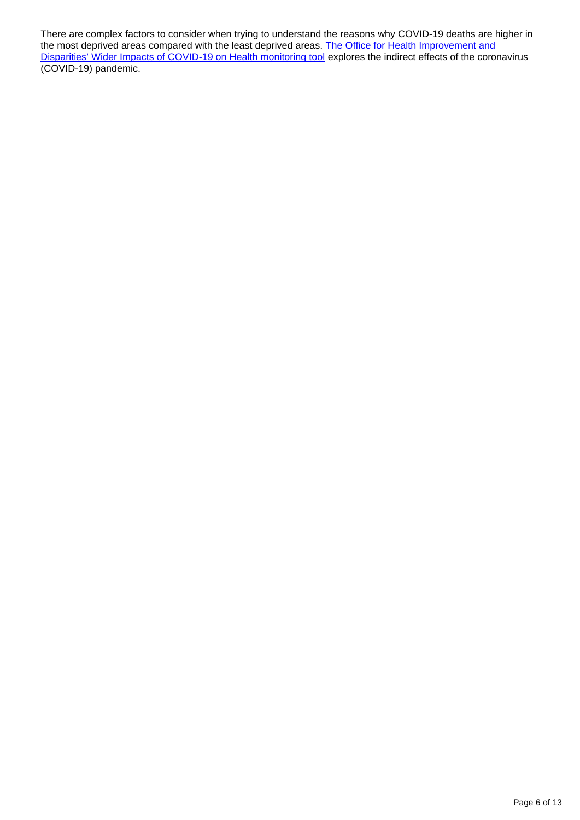There are complex factors to consider when trying to understand the reasons why COVID-19 deaths are higher in the most deprived areas compared with the least deprived areas. The Office for Health Improvement and [Disparities' Wider Impacts of COVID-19 on Health monitoring tool](https://analytics.phe.gov.uk/apps/covid-19-indirect-effects/) explores the indirect effects of the coronavirus (COVID-19) pandemic.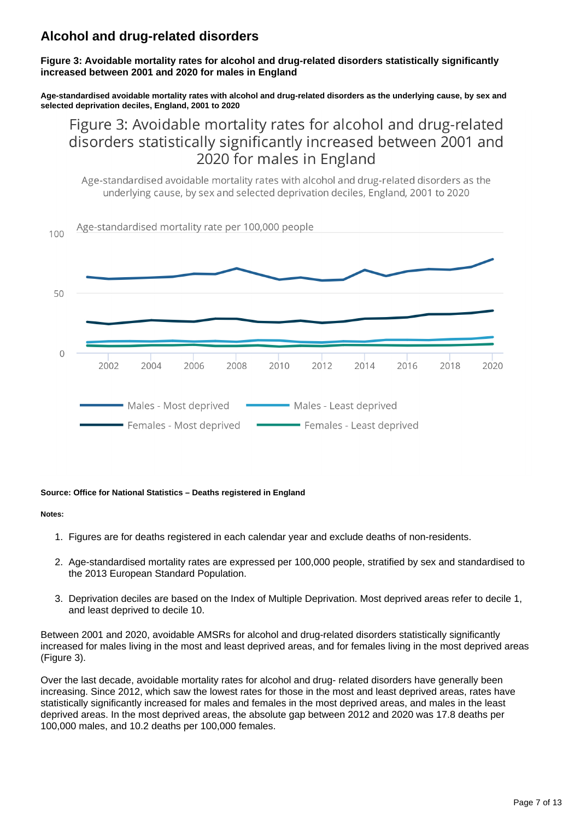## **Alcohol and drug-related disorders**

**Figure 3: Avoidable mortality rates for alcohol and drug-related disorders statistically significantly increased between 2001 and 2020 for males in England**

**Age-standardised avoidable mortality rates with alcohol and drug-related disorders as the underlying cause, by sex and selected deprivation deciles, England, 2001 to 2020**

Figure 3: Avoidable mortality rates for alcohol and drug-related disorders statistically significantly increased between 2001 and 2020 for males in England

Age-standardised avoidable mortality rates with alcohol and drug-related disorders as the underlying cause, by sex and selected deprivation deciles, England, 2001 to 2020



#### **Source: Office for National Statistics – Deaths registered in England**

#### **Notes:**

- 1. Figures are for deaths registered in each calendar year and exclude deaths of non-residents.
- 2. Age-standardised mortality rates are expressed per 100,000 people, stratified by sex and standardised to the 2013 European Standard Population.
- 3. Deprivation deciles are based on the Index of Multiple Deprivation. Most deprived areas refer to decile 1, and least deprived to decile 10.

Between 2001 and 2020, avoidable AMSRs for alcohol and drug-related disorders statistically significantly increased for males living in the most and least deprived areas, and for females living in the most deprived areas (Figure 3).

Over the last decade, avoidable mortality rates for alcohol and drug- related disorders have generally been increasing. Since 2012, which saw the lowest rates for those in the most and least deprived areas, rates have statistically significantly increased for males and females in the most deprived areas, and males in the least deprived areas. In the most deprived areas, the absolute gap between 2012 and 2020 was 17.8 deaths per 100,000 males, and 10.2 deaths per 100,000 females.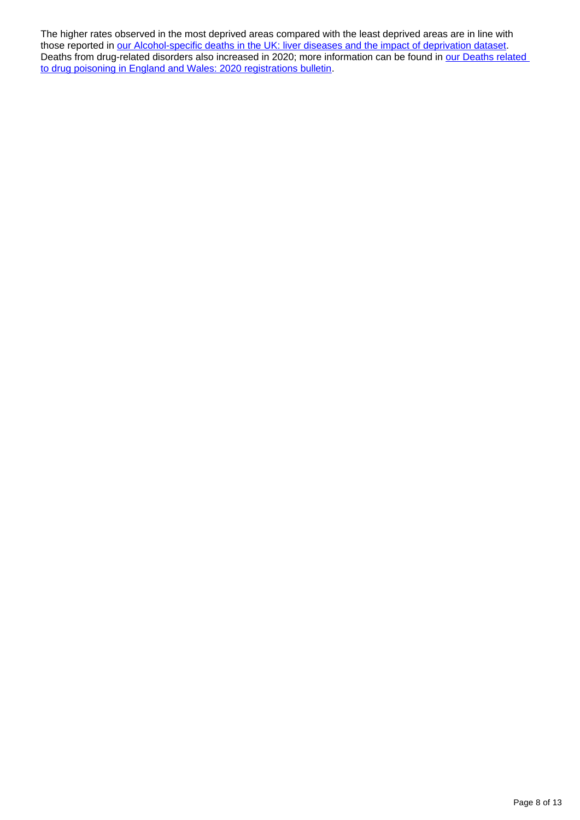The higher rates observed in the most deprived areas compared with the least deprived areas are in line with those reported in [our Alcohol-specific deaths in the UK: liver diseases and the impact of deprivation dataset.](https://www.ons.gov.uk/peoplepopulationandcommunity/healthandsocialcare/causesofdeath/datasets/alcoholspecificdeathsintheunitedkingdomsupplementarydatatables) Deaths from drug-related disorders also increased in 2020; more information can be found in our Deaths related [to drug poisoning in England and Wales: 2020 registrations bulletin.](https://www.ons.gov.uk/peoplepopulationandcommunity/birthsdeathsandmarriages/deaths/bulletins/deathsrelatedtodrugpoisoninginenglandandwales/2020#possible-explanations-for-the-increase-in-drug-related-deaths)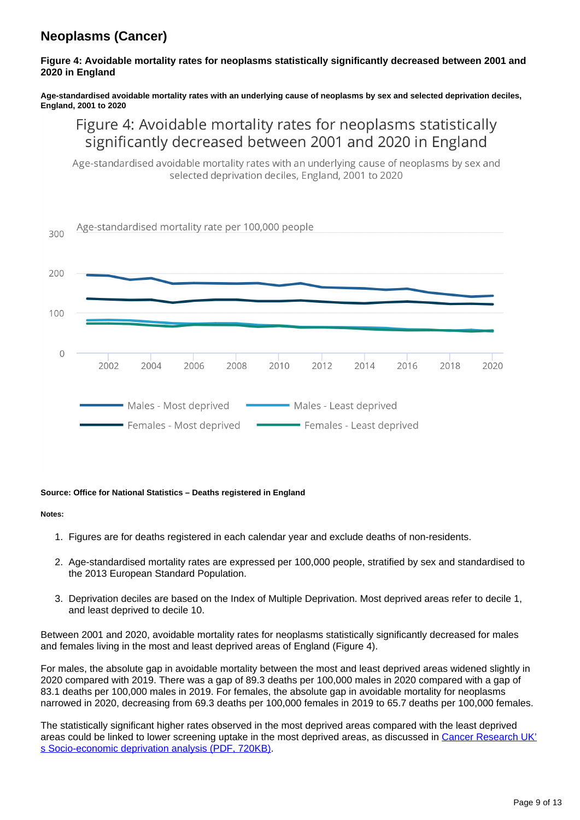## **Neoplasms (Cancer)**

#### **Figure 4: Avoidable mortality rates for neoplasms statistically significantly decreased between 2001 and 2020 in England**

**Age-standardised avoidable mortality rates with an underlying cause of neoplasms by sex and selected deprivation deciles, England, 2001 to 2020**

## Figure 4: Avoidable mortality rates for neoplasms statistically significantly decreased between 2001 and 2020 in England

Age-standardised avoidable mortality rates with an underlying cause of neoplasms by sex and selected deprivation deciles, England, 2001 to 2020



#### **Source: Office for National Statistics – Deaths registered in England**

#### **Notes:**

- 1. Figures are for deaths registered in each calendar year and exclude deaths of non-residents.
- 2. Age-standardised mortality rates are expressed per 100,000 people, stratified by sex and standardised to the 2013 European Standard Population.
- 3. Deprivation deciles are based on the Index of Multiple Deprivation. Most deprived areas refer to decile 1, and least deprived to decile 10.

Between 2001 and 2020, avoidable mortality rates for neoplasms statistically significantly decreased for males and females living in the most and least deprived areas of England (Figure 4).

For males, the absolute gap in avoidable mortality between the most and least deprived areas widened slightly in 2020 compared with 2019. There was a gap of 89.3 deaths per 100,000 males in 2020 compared with a gap of 83.1 deaths per 100,000 males in 2019. For females, the absolute gap in avoidable mortality for neoplasms narrowed in 2020, decreasing from 69.3 deaths per 100,000 females in 2019 to 65.7 deaths per 100,000 females.

The statistically significant higher rates observed in the most deprived areas compared with the least deprived areas could be linked to lower screening uptake in the most deprived areas, as discussed in [Cancer Research UK'](https://www.cancerresearchuk.org/sites/default/files/cancer_inequalities_in_the_uk.pdf) [s Socio-economic deprivation analysis \(PDF, 720KB\)](https://www.cancerresearchuk.org/sites/default/files/cancer_inequalities_in_the_uk.pdf).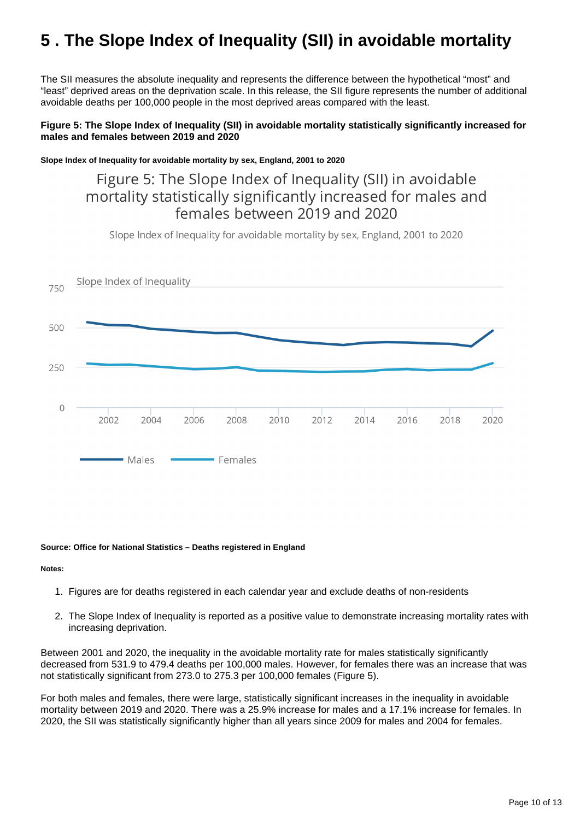## <span id="page-9-0"></span>**5 . The Slope Index of Inequality (SII) in avoidable mortality**

The SII measures the absolute inequality and represents the difference between the hypothetical "most" and "least" deprived areas on the deprivation scale. In this release, the SII figure represents the number of additional avoidable deaths per 100,000 people in the most deprived areas compared with the least.

#### **Figure 5: The Slope Index of Inequality (SII) in avoidable mortality statistically significantly increased for males and females between 2019 and 2020**

**Slope Index of Inequality for avoidable mortality by sex, England, 2001 to 2020**

## Figure 5: The Slope Index of Inequality (SII) in avoidable mortality statistically significantly increased for males and females between 2019 and 2020

Slope Index of Inequality for avoidable mortality by sex. England, 2001 to 2020



#### **Source: Office for National Statistics – Deaths registered in England**

#### **Notes:**

- 1. Figures are for deaths registered in each calendar year and exclude deaths of non-residents
- 2. The Slope Index of Inequality is reported as a positive value to demonstrate increasing mortality rates with increasing deprivation.

Between 2001 and 2020, the inequality in the avoidable mortality rate for males statistically significantly decreased from 531.9 to 479.4 deaths per 100,000 males. However, for females there was an increase that was not statistically significant from 273.0 to 275.3 per 100,000 females (Figure 5).

For both males and females, there were large, statistically significant increases in the inequality in avoidable mortality between 2019 and 2020. There was a 25.9% increase for males and a 17.1% increase for females. In 2020, the SII was statistically significantly higher than all years since 2009 for males and 2004 for females.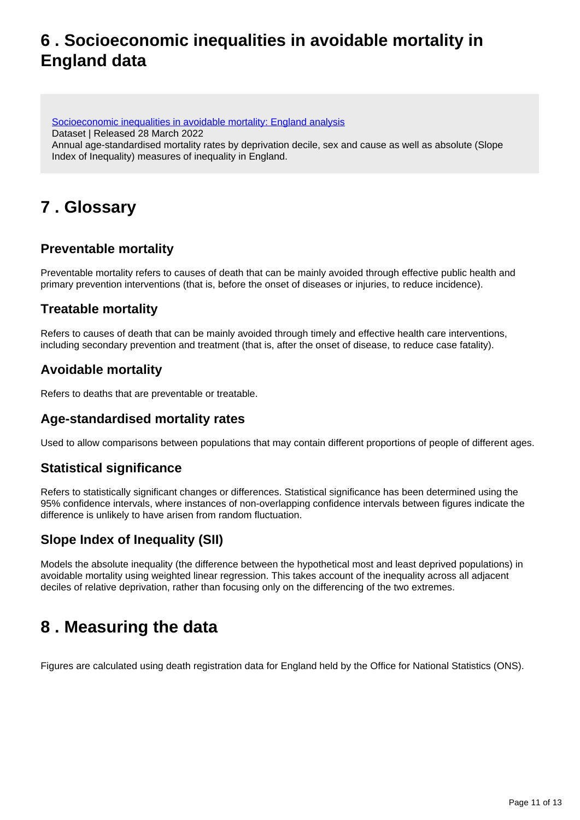## <span id="page-10-0"></span>**6 . Socioeconomic inequalities in avoidable mortality in England data**

[Socioeconomic inequalities in avoidable mortality: England analysis](https://www.ons.gov.uk/peoplepopulationandcommunity/healthandsocialcare/causesofdeath/datasets/measuringsocioeconomicinequalitiesinavoidablemortalityenglandanalysis) Dataset | Released 28 March 2022 Annual age-standardised mortality rates by deprivation decile, sex and cause as well as absolute (Slope Index of Inequality) measures of inequality in England.

## <span id="page-10-1"></span>**7 . Glossary**

### **Preventable mortality**

Preventable mortality refers to causes of death that can be mainly avoided through effective public health and primary prevention interventions (that is, before the onset of diseases or injuries, to reduce incidence).

### **Treatable mortality**

Refers to causes of death that can be mainly avoided through timely and effective health care interventions, including secondary prevention and treatment (that is, after the onset of disease, to reduce case fatality).

### **Avoidable mortality**

Refers to deaths that are preventable or treatable.

### **Age-standardised mortality rates**

Used to allow comparisons between populations that may contain different proportions of people of different ages.

### **Statistical significance**

Refers to statistically significant changes or differences. Statistical significance has been determined using the 95% confidence intervals, where instances of non-overlapping confidence intervals between figures indicate the difference is unlikely to have arisen from random fluctuation.

### **Slope Index of Inequality (SII)**

Models the absolute inequality (the difference between the hypothetical most and least deprived populations) in avoidable mortality using weighted linear regression. This takes account of the inequality across all adjacent deciles of relative deprivation, rather than focusing only on the differencing of the two extremes.

## <span id="page-10-2"></span>**8 . Measuring the data**

Figures are calculated using death registration data for England held by the Office for National Statistics (ONS).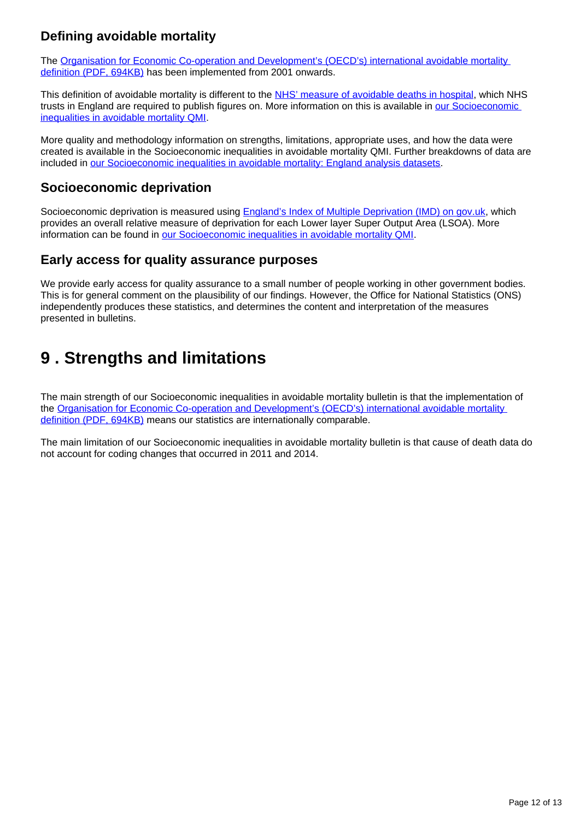## **Defining avoidable mortality**

The Organisation for Economic Co-operation and Development's (OECD's) international avoidable mortality [definition \(PDF, 694KB\)](https://www.oecd.org/health/health-systems/Avoidable-mortality-2019-Joint-OECD-Eurostat-List-preventable-treatable-causes-of-death.pdf) has been implemented from 2001 onwards.

This definition of avoidable mortality is different to the [NHS' measure of avoidable deaths in hospital](https://www.gov.uk/government/news/nhs-becomes-first-healthcare-system-in-the-world-to-publish-numbers-of-avoidable-deaths), which NHS trusts in England are required to publish figures on. More information on this is available in [our Socioeconomic](https://www.ons.gov.uk/peoplepopulationandcommunity/healthandsocialcare/causesofdeath/methodologies/socioeconomicinequalitiesinavoidablemortalityqmi)  [inequalities in avoidable mortality QMI.](https://www.ons.gov.uk/peoplepopulationandcommunity/healthandsocialcare/causesofdeath/methodologies/socioeconomicinequalitiesinavoidablemortalityqmi)

More quality and methodology information on strengths, limitations, appropriate uses, and how the data were created is available in the Socioeconomic inequalities in avoidable mortality QMI. Further breakdowns of data are included in [our Socioeconomic inequalities in avoidable mortality: England analysis datasets](https://www.ons.gov.uk/peoplepopulationandcommunity/birthsdeathsandmarriages/deaths/bulletins/socioeconomicinequalitiesinavoidablemortalityinengland/2019/relateddata).

### **Socioeconomic deprivation**

Socioeconomic deprivation is measured using **England's Index of Multiple Deprivation (IMD)** on gov.uk, which provides an overall relative measure of deprivation for each Lower layer Super Output Area (LSOA). More information can be found in [our Socioeconomic inequalities in avoidable mortality QMI.](https://www.ons.gov.uk/peoplepopulationandcommunity/healthandsocialcare/causesofdeath/methodologies/socioeconomicinequalitiesinavoidablemortalityqmi)

### **Early access for quality assurance purposes**

We provide early access for quality assurance to a small number of people working in other government bodies. This is for general comment on the plausibility of our findings. However, the Office for National Statistics (ONS) independently produces these statistics, and determines the content and interpretation of the measures presented in bulletins.

## <span id="page-11-0"></span>**9 . Strengths and limitations**

The main strength of our Socioeconomic inequalities in avoidable mortality bulletin is that the implementation of the [Organisation for Economic Co-operation and Development's \(OECD's\) international avoidable mortality](https://www.oecd.org/health/health-systems/Avoidable-mortality-2019-Joint-OECD-Eurostat-List-preventable-treatable-causes-of-death.pdf)  [definition \(PDF, 694KB\)](https://www.oecd.org/health/health-systems/Avoidable-mortality-2019-Joint-OECD-Eurostat-List-preventable-treatable-causes-of-death.pdf) means our statistics are internationally comparable.

The main limitation of our Socioeconomic inequalities in avoidable mortality bulletin is that cause of death data do not account for coding changes that occurred in 2011 and 2014.